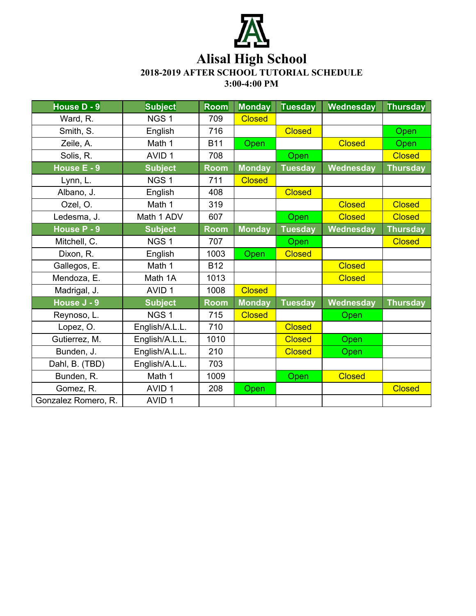

## **Alisal High School**

**2018-2019 AFTER SCHOOL TUTORIAL SCHEDULE**

**3:00-4:00 PM**

| House $D - 9$       | <b>Subject</b>    | <b>Room</b> | <b>Monday</b> | <b>Tuesday</b> | Wednesday     | <b>Thursday</b> |
|---------------------|-------------------|-------------|---------------|----------------|---------------|-----------------|
| Ward, R.            | NGS <sub>1</sub>  | 709         | <b>Closed</b> |                |               |                 |
| Smith, S.           | English           | 716         |               | <b>Closed</b>  |               | Open            |
| Zeile, A.           | Math 1            | <b>B11</b>  | Open          |                | <b>Closed</b> | Open            |
| Solis, R.           | AVID <sub>1</sub> | 708         |               | Open           |               | <b>Closed</b>   |
| House E - 9         | <b>Subject</b>    | <b>Room</b> | <b>Monday</b> | <b>Tuesday</b> | Wednesday     | <b>Thursday</b> |
| Lynn, L.            | NGS <sub>1</sub>  | 711         | <b>Closed</b> |                |               |                 |
| Albano, J.          | English           | 408         |               | <b>Closed</b>  |               |                 |
| Ozel, O.            | Math 1            | 319         |               |                | <b>Closed</b> | <b>Closed</b>   |
| Ledesma, J.         | Math 1 ADV        | 607         |               | Open           | <b>Closed</b> | <b>Closed</b>   |
| House P - 9         | <b>Subject</b>    | <b>Room</b> | <b>Monday</b> | <b>Tuesday</b> | Wednesday     | <b>Thursday</b> |
| Mitchell, C.        | NGS <sub>1</sub>  | 707         |               | Open           |               | <b>Closed</b>   |
| Dixon, R.           | English           | 1003        | Open          | <b>Closed</b>  |               |                 |
| Gallegos, E.        | Math 1            | <b>B12</b>  |               |                | <b>Closed</b> |                 |
| Mendoza, E.         | Math 1A           | 1013        |               |                | <b>Closed</b> |                 |
| Madrigal, J.        | AVID <sub>1</sub> | 1008        | <b>Closed</b> |                |               |                 |
| House J - 9         | <b>Subject</b>    | <b>Room</b> | <b>Monday</b> | <b>Tuesday</b> | Wednesday     | <b>Thursday</b> |
| Reynoso, L.         | NGS <sub>1</sub>  | 715         | <b>Closed</b> |                | Open          |                 |
| Lopez, O.           | English/A.L.L.    | 710         |               | <b>Closed</b>  |               |                 |
| Gutierrez, M.       | English/A.L.L.    | 1010        |               | <b>Closed</b>  | Open          |                 |
| Bunden, J.          | English/A.L.L.    | 210         |               | <b>Closed</b>  | Open          |                 |
| Dahl, B. (TBD)      | English/A.L.L.    | 703         |               |                |               |                 |
| Bunden, R.          | Math 1            | 1009        |               | Open           | <b>Closed</b> |                 |
| Gomez, R.           | AVID <sub>1</sub> | 208         | Open          |                |               | <b>Closed</b>   |
| Gonzalez Romero, R. | AVID <sub>1</sub> |             |               |                |               |                 |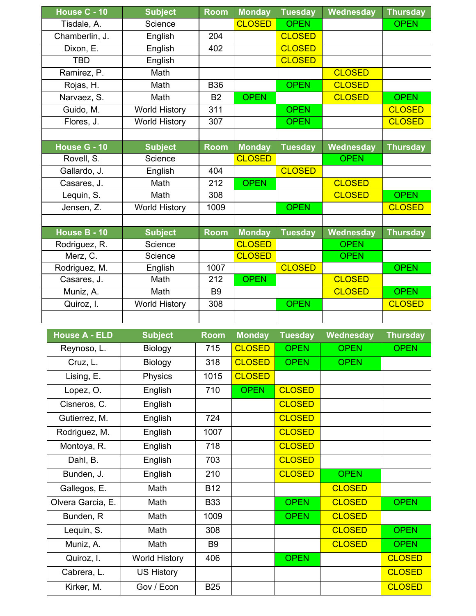| House C - 10   | <b>Subject</b>       | <b>Room</b> | <b>Monday</b> | <b>Tuesday</b> | Wednesday        | <b>Thursday</b> |
|----------------|----------------------|-------------|---------------|----------------|------------------|-----------------|
| Tisdale, A.    | Science              |             | <b>CLOSED</b> | <b>OPEN</b>    |                  | <b>OPEN</b>     |
| Chamberlin, J. | English              | 204         |               | <b>CLOSED</b>  |                  |                 |
| Dixon, E.      | English              | 402         |               | <b>CLOSED</b>  |                  |                 |
| <b>TBD</b>     | English              |             |               | <b>CLOSED</b>  |                  |                 |
| Ramirez, P.    | Math                 |             |               |                | <b>CLOSED</b>    |                 |
| Rojas, H.      | Math                 | <b>B36</b>  |               | <b>OPEN</b>    | <b>CLOSED</b>    |                 |
| Narvaez, S.    | Math                 | <b>B2</b>   | <b>OPEN</b>   |                | <b>CLOSED</b>    | <b>OPEN</b>     |
| Guido, M.      | <b>World History</b> | 311         |               | <b>OPEN</b>    |                  | <b>CLOSED</b>   |
| Flores, J.     | <b>World History</b> | 307         |               | <b>OPEN</b>    |                  | <b>CLOSED</b>   |
|                |                      |             |               |                |                  |                 |
| House G - 10   | <b>Subject</b>       | <b>Room</b> | <b>Monday</b> | <b>Tuesday</b> | <b>Wednesday</b> | <b>Thursday</b> |
| Rovell, S.     | Science              |             | <b>CLOSED</b> |                | <b>OPEN</b>      |                 |
| Gallardo, J.   | English              | 404         |               | <b>CLOSED</b>  |                  |                 |
| Casares, J.    | Math                 | 212         | <b>OPEN</b>   |                | <b>CLOSED</b>    |                 |
| Lequin, S.     | Math                 | 308         |               |                | <b>CLOSED</b>    | <b>OPEN</b>     |
| Jensen, Z.     | <b>World History</b> | 1009        |               | <b>OPEN</b>    |                  | <b>CLOSED</b>   |
|                |                      |             |               |                |                  |                 |
| House B - 10   | <b>Subject</b>       | <b>Room</b> | <b>Monday</b> | <b>Tuesday</b> | Wednesday        | <b>Thursday</b> |
| Rodriguez, R.  | Science              |             | <b>CLOSED</b> |                | <b>OPEN</b>      |                 |
| Merz, C.       | Science              |             | <b>CLOSED</b> |                | <b>OPEN</b>      |                 |
| Rodriguez, M.  | English              | 1007        |               | <b>CLOSED</b>  |                  | <b>OPEN</b>     |
| Casares, J.    | Math                 | 212         | <b>OPEN</b>   |                | <b>CLOSED</b>    |                 |
| Muniz, A.      | Math                 | <b>B9</b>   |               |                | <b>CLOSED</b>    | <b>OPEN</b>     |
| Quiroz, I.     | <b>World History</b> | 308         |               | <b>OPEN</b>    |                  | <b>CLOSED</b>   |
|                |                      |             |               |                |                  |                 |

| <b>House A - ELD</b> | <b>Subject</b>       | <b>Room</b>    | <b>Monday</b> | <b>Tuesday</b> | Wednesday     | <b>Thursday</b> |
|----------------------|----------------------|----------------|---------------|----------------|---------------|-----------------|
| Reynoso, L.          | Biology              | 715            | <b>CLOSED</b> | <b>OPEN</b>    | <b>OPEN</b>   | <b>OPEN</b>     |
| Cruz, L.             | Biology              | 318            | <b>CLOSED</b> | <b>OPEN</b>    | <b>OPEN</b>   |                 |
| Lising, E.           | Physics              | 1015           | <b>CLOSED</b> |                |               |                 |
| Lopez, O.            | English              | 710            | <b>OPEN</b>   | <b>CLOSED</b>  |               |                 |
| Cisneros, C.         | English              |                |               | <b>CLOSED</b>  |               |                 |
| Gutierrez, M.        | English              | 724            |               | <b>CLOSED</b>  |               |                 |
| Rodriguez, M.        | English              | 1007           |               | <b>CLOSED</b>  |               |                 |
| Montoya, R.          | English              | 718            |               | <b>CLOSED</b>  |               |                 |
| Dahl, B.             | English              | 703            |               | <b>CLOSED</b>  |               |                 |
| Bunden, J.           | English              | 210            |               | <b>CLOSED</b>  | <b>OPEN</b>   |                 |
| Gallegos, E.         | Math                 | <b>B12</b>     |               |                | <b>CLOSED</b> |                 |
| Olvera Garcia, E.    | Math                 | <b>B33</b>     |               | <b>OPEN</b>    | <b>CLOSED</b> | <b>OPEN</b>     |
| Bunden, R            | Math                 | 1009           |               | <b>OPEN</b>    | <b>CLOSED</b> |                 |
| Lequin, S.           | Math                 | 308            |               |                | <b>CLOSED</b> | <b>OPEN</b>     |
| Muniz, A.            | Math                 | B <sub>9</sub> |               |                | <b>CLOSED</b> | <b>OPEN</b>     |
| Quiroz, I.           | <b>World History</b> | 406            |               | <b>OPEN</b>    |               | <b>CLOSED</b>   |
| Cabrera, L.          | <b>US History</b>    |                |               |                |               | <b>CLOSED</b>   |
| Kirker, M.           | Gov / Econ           | <b>B25</b>     |               |                |               | <b>CLOSED</b>   |